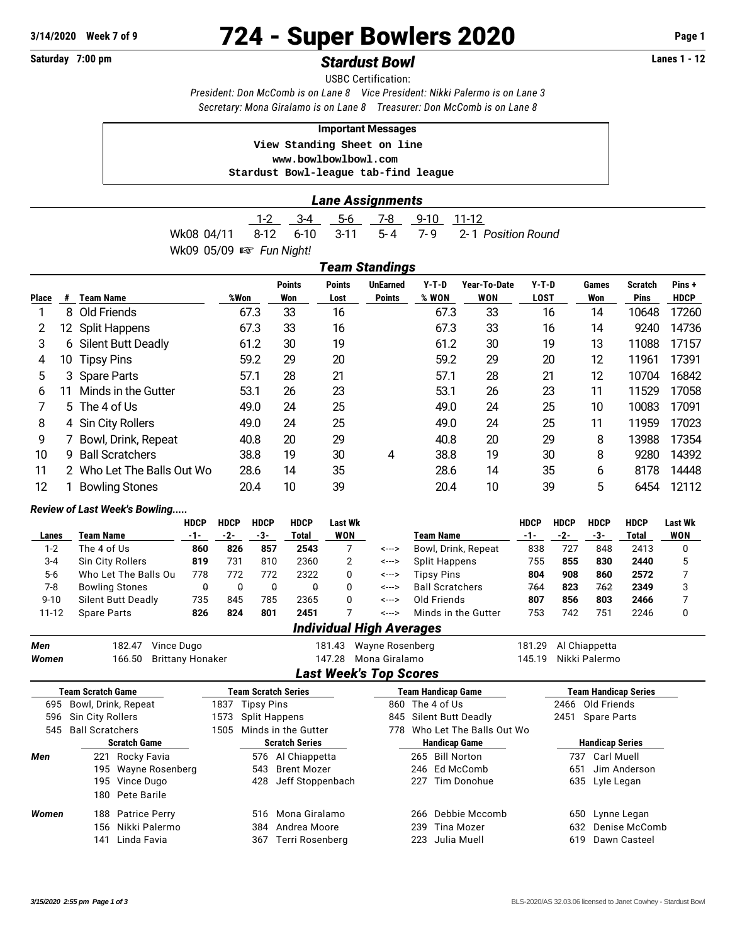# **3/14/2020 Week 7 of 9 724 - Super Bowlers 2020 Page 1**

## Saturday 7:00 pm **Stardust Bowl Standust Bowl Constant Act Act 2018** Lanes 1 - 12

USBC Certification: *President: Don McComb is on Lane 8 Vice President: Nikki Palermo is on Lane 3 Secretary: Mona Giralamo is on Lane 8 Treasurer: Don McComb is on Lane 8*

#### **Important Messages**

 **View Standing Sheet on line <www.bowlbowlbowl.com> Stardust Bowl-league tab-find league**

### *Lane Assignments*

1-2 3-4 5-6 7-8 9-10 11-12 Wk08 04/11 8-12 6-10 3-11 5-4 7-9 2-1 *Position Round* Wk09 05/09  $\mathbb{R}$  *Fun Night!* 

|       | Team Standings  |                          |      |                      |                       |                                  |                |                            |                        |              |                        |                      |  |
|-------|-----------------|--------------------------|------|----------------------|-----------------------|----------------------------------|----------------|----------------------------|------------------------|--------------|------------------------|----------------------|--|
| Place | #               | <b>Team Name</b>         | %Won | <b>Points</b><br>Won | <b>Points</b><br>Lost | <b>UnEarned</b><br><b>Points</b> | Y-T-D<br>% WON | Year-To-Date<br><b>WON</b> | $Y-T-D$<br><b>LOST</b> | Games<br>Won | Scratch<br><b>Pins</b> | Pins+<br><b>HDCP</b> |  |
|       | 8               | Old Friends              | 67.3 | 33                   | 16                    |                                  | 67.3           | 33                         | 16                     | 14           | 10648                  | 17260                |  |
| 2     | 12 <sup>°</sup> | <b>Split Happens</b>     | 67.3 | 33                   | 16                    |                                  | 67.3           | 33                         | 16                     | 14           | 9240                   | 14736                |  |
| 3     | 6               | Silent Butt Deadly       | 61.2 | 30                   | 19                    |                                  | 61.2           | 30                         | 19                     | 13           | 11088                  | 17157                |  |
| 4     | 10              | <b>Tipsy Pins</b>        | 59.2 | 29                   | 20                    |                                  | 59.2           | 29                         | 20                     | 12           | 11961                  | 17391                |  |
| 5     | 3               | <b>Spare Parts</b>       | 57.1 | 28                   | 21                    |                                  | 57.1           | 28                         | 21                     | 12           | 10704                  | 16842                |  |
| 6     | 11              | Minds in the Gutter      | 53.1 | 26                   | 23                    |                                  | 53.1           | 26                         | 23                     | 11           | 11529                  | 17058                |  |
|       | 5.              | The 4 of Us              | 49.0 | 24                   | 25                    |                                  | 49.0           | 24                         | 25                     | 10           | 10083                  | 17091                |  |
| 8     | 4               | Sin City Rollers         | 49.0 | 24                   | 25                    |                                  | 49.0           | 24                         | 25                     | 11           | 11959                  | 17023                |  |
| 9     |                 | Bowl, Drink, Repeat      | 40.8 | 20                   | 29                    |                                  | 40.8           | 20                         | 29                     | 8            | 13988                  | 17354                |  |
| 10    | 9               | <b>Ball Scratchers</b>   | 38.8 | 19                   | 30                    | 4                                | 38.8           | 19                         | 30                     | 8            | 9280                   | 14392                |  |
| 11    | 2.              | Who Let The Balls Out Wo | 28.6 | 14                   | 35                    |                                  | 28.6           | 14                         | 35                     | 6            | 8178                   | 14448                |  |
| 12    |                 | <b>Bowling Stones</b>    | 20.4 | 10                   | 39                    |                                  | 20.4           | 10                         | 39                     | 5            | 6454                   | 12112                |  |

#### *Review of Last Week's Bowling.....*

|          |                                 | <b>HDCP</b> | <b>HDCP</b> | <b>HDCP</b> | <b>HDCP</b> | Last Wk    |       |                        | HDCP | <b>HDCP</b> | <b>HDCP</b> | <b>HDCP</b> | Last Wk |
|----------|---------------------------------|-------------|-------------|-------------|-------------|------------|-------|------------------------|------|-------------|-------------|-------------|---------|
| Lanes    | Team Name                       | -1-         | -2-         | -3-         | Total       | <b>WON</b> |       | Team Name              |      | -2-         | -3-         | Total       | WON     |
| $1 - 2$  | The 4 of Us                     | 860         | 826         | 857         | 2543        |            | <---> | Bowl, Drink, Repeat    | 838  | 727         | 848         | 2413        | 0       |
| $3 - 4$  | <b>Sin City Rollers</b>         | 819         | 731         | 810         | 2360        |            | <---> | <b>Split Happens</b>   | 755  | 855         | 830         | 2440        | 5       |
| $5-6$    | Who Let The Balls Ou            | 778         | 772         | 772         | 2322        | 0          | <---> | <b>Tipsy Pins</b>      | 804  | 908         | 860         | 2572        |         |
| 7-8      | <b>Bowling Stones</b>           | θ           | θ           | θ           | θ           |            | <---> | <b>Ball Scratchers</b> | 764  | 823         | 762         | 2349        | 3       |
| $9 - 10$ | <b>Silent Butt Deadly</b>       | 735         | 845         | 785         | 2365        |            | <---> | Old Friends            | 807  | 856         | 803         | 2466        |         |
| 11-12    | <b>Spare Parts</b>              | 826         | 824         | 801         | 2451        |            | <---> | Minds in the Gutter    | 753  | 742         | 751         | 2246        | 0       |
|          | <b>Individual High Averages</b> |             |             |             |             |            |       |                        |      |             |             |             |         |

| Men   | 182.47                                                | Vince Dugo              |                                              | 181.43               | Wayne Rosenberg               |                           |                      | 181.29 |                  | Al Chiappetta               |  |
|-------|-------------------------------------------------------|-------------------------|----------------------------------------------|----------------------|-------------------------------|---------------------------|----------------------|--------|------------------|-----------------------------|--|
| Women | 166.50                                                | <b>Brittany Honaker</b> |                                              | 147.28               | 145.19<br>Mona Giralamo       |                           |                      |        |                  | Nikki Palermo               |  |
|       |                                                       |                         |                                              |                      | <b>Last Week's Top Scores</b> |                           |                      |        |                  |                             |  |
|       | Team Scratch Game                                     |                         | Team Scratch Series                          |                      |                               | <b>Team Handicap Game</b> |                      |        |                  | <b>Team Handicap Series</b> |  |
|       | 695 Bowl, Drink, Repeat                               |                         | 1837 Tipsy Pins                              |                      |                               | 860 The 4 of Us           | 2466 Old Friends     |        |                  |                             |  |
| 596   | Sin City Rollers                                      |                         | 845 Silent Butt Deadly<br>1573 Split Happens |                      |                               |                           |                      |        | 2451 Spare Parts |                             |  |
| 545   | <b>Ball Scratchers</b><br>Minds in the Gutter<br>1505 |                         |                                              | 778                  |                               | Who Let The Balls Out Wo  |                      |        |                  |                             |  |
|       | <b>Scratch Game</b>                                   |                         | <b>Scratch Series</b>                        |                      |                               |                           | <b>Handicap Game</b> |        |                  | <b>Handicap Series</b>      |  |
| Men   | Rocky Favia<br>221                                    |                         |                                              | 576 Al Chiappetta    |                               |                           | 265 Bill Norton      |        | 737              | Carl Muell                  |  |
|       | 195 Wayne Rosenberg                                   |                         | 543                                          | Brent Mozer          |                               |                           | 246 Ed McComb        |        | 651              | Jim Anderson                |  |
|       | 195 Vince Dugo                                        |                         |                                              | 428 Jeff Stoppenbach |                               |                           | 227 Tim Donohue      |        |                  | 635 Lyle Legan              |  |
|       | 180 Pete Barile                                       |                         |                                              |                      |                               |                           |                      |        |                  |                             |  |
| Women | 188 Patrice Perry                                     |                         |                                              | 516 Mona Giralamo    |                               |                           | 266 Debbie Mccomb    |        | 650              | Lynne Legan                 |  |
|       | Nikki Palermo<br>156                                  |                         | 384                                          | Andrea Moore         |                               | 239                       | Tina Mozer           |        | 632              | Denise McComb               |  |
|       | Linda Favia<br>141                                    |                         | 367                                          | Terri Rosenberg      |                               | 223                       | Julia Muell          |        | 619              | Dawn Casteel                |  |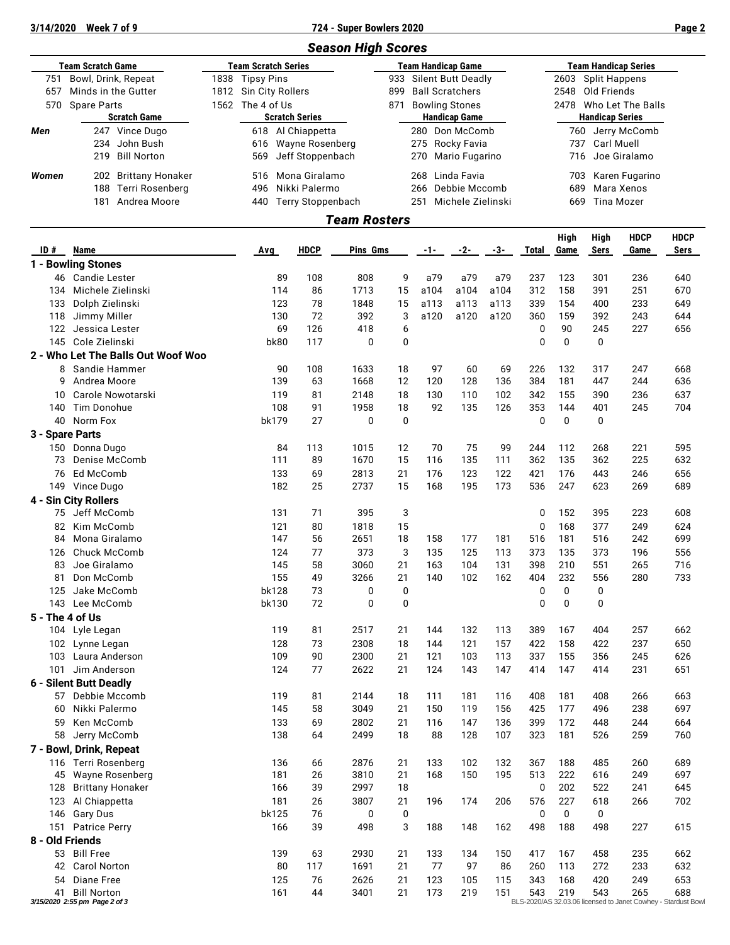**3/14/2020 Week 7 of 9 724 - Super Bowlers 2020 Page 2**

|                            |                                            |                       |                            |                       | <b>Season High Scores</b> |                           |                           |                      |           |              |                      |                     |                                                                                                                                                                                                                                                                                                                                                                                                                                                                  |             |
|----------------------------|--------------------------------------------|-----------------------|----------------------------|-----------------------|---------------------------|---------------------------|---------------------------|----------------------|-----------|--------------|----------------------|---------------------|------------------------------------------------------------------------------------------------------------------------------------------------------------------------------------------------------------------------------------------------------------------------------------------------------------------------------------------------------------------------------------------------------------------------------------------------------------------|-------------|
|                            | <b>Team Scratch Game</b>                   |                       | <b>Team Scratch Series</b> |                       |                           |                           | <b>Team Handicap Game</b> |                      |           |              |                      |                     |                                                                                                                                                                                                                                                                                                                                                                                                                                                                  |             |
| Bowl, Drink, Repeat<br>751 |                                            |                       | 1838 Tipsy Pins            |                       | 933                       | <b>Silent Butt Deadly</b> |                           |                      |           | 2603         | <b>Split Happens</b> |                     |                                                                                                                                                                                                                                                                                                                                                                                                                                                                  |             |
| 657                        | Minds in the Gutter                        | 1812 Sin City Rollers |                            |                       |                           | 899                       | <b>Ball Scratchers</b>    |                      |           |              | 2548                 | Old Friends         |                                                                                                                                                                                                                                                                                                                                                                                                                                                                  |             |
| 570                        | <b>Spare Parts</b><br><b>Scratch Game</b>  |                       | 1562 The 4 of Us           | <b>Scratch Series</b> |                           | 871                       | <b>Bowling Stones</b>     | <b>Handicap Game</b> |           |              | 2478                 |                     | <b>Team Handicap Series</b><br>Who Let The Balls<br><b>Handicap Series</b><br>Jerry McComb<br><b>Carl Muell</b><br>Joe Giralamo<br>Karen Fugarino<br>Mara Xenos<br>Tina Mozer<br><b>HDCP</b><br>Game<br>236<br>251<br>233<br>243<br>227<br>247<br>244<br>236<br>245<br>221<br>225<br>246<br>269<br>223<br>249<br>242<br>196<br>265<br>280<br>257<br>237<br>245<br>231<br>266<br>238<br>244<br>259<br>260<br>249<br>241<br>266<br>227<br>235<br>233<br>249<br>265 |             |
| Men                        | 247 Vince Dugo                             |                       | 618 Al Chiappetta          |                       |                           |                           | 280 Don McComb            |                      |           |              | 760                  |                     |                                                                                                                                                                                                                                                                                                                                                                                                                                                                  |             |
|                            | John Bush<br>234                           |                       | 616                        | Wayne Rosenberg       |                           |                           | 275                       | Rocky Favia          |           |              | 737                  |                     |                                                                                                                                                                                                                                                                                                                                                                                                                                                                  |             |
|                            | <b>Bill Norton</b><br>219                  |                       | 569                        | Jeff Stoppenbach      |                           |                           | 270                       | Mario Fugarino       |           |              | 716                  |                     |                                                                                                                                                                                                                                                                                                                                                                                                                                                                  |             |
| Women                      | 202 Brittany Honaker                       |                       | 516                        | Mona Giralamo         |                           |                           | 268                       | Linda Favia          |           |              | 703                  |                     |                                                                                                                                                                                                                                                                                                                                                                                                                                                                  |             |
|                            | Terri Rosenberg<br>188                     |                       | 496                        | Nikki Palermo         |                           |                           | 266                       | Debbie Mccomb        |           |              | 689                  |                     |                                                                                                                                                                                                                                                                                                                                                                                                                                                                  |             |
|                            | 181<br>Andrea Moore                        |                       | 440                        |                       | Terry Stoppenbach         |                           | 251                       | Michele Zielinski    |           |              | 669                  |                     |                                                                                                                                                                                                                                                                                                                                                                                                                                                                  |             |
|                            |                                            |                       |                            |                       | <b>Team Rosters</b>       |                           |                           |                      |           |              |                      |                     |                                                                                                                                                                                                                                                                                                                                                                                                                                                                  |             |
| ID#                        | Name                                       |                       |                            | <b>HDCP</b>           | Pins Gms                  |                           |                           |                      |           |              | High                 | High<br><b>Sers</b> |                                                                                                                                                                                                                                                                                                                                                                                                                                                                  | <b>HDCP</b> |
|                            | 1 - Bowling Stones                         |                       | Avg                        |                       |                           |                           | -1-                       | $-2-$                | -3-       | Total        | Game                 |                     |                                                                                                                                                                                                                                                                                                                                                                                                                                                                  | Sers        |
|                            | 46 Candie Lester                           |                       | 89                         | 108                   | 808                       | 9                         | a79                       | a79                  | a79       | 237          | 123                  | 301                 |                                                                                                                                                                                                                                                                                                                                                                                                                                                                  | 640         |
| 134                        | Michele Zielinski                          |                       | 114                        | 86                    | 1713                      | 15                        | a104                      | a104                 | a104      | 312          | 158                  | 391                 |                                                                                                                                                                                                                                                                                                                                                                                                                                                                  | 670         |
| 133                        | Dolph Zielinski                            |                       | 123                        | 78                    | 1848                      | 15                        | a113                      | a113                 | a113      | 339          | 154                  | 400                 |                                                                                                                                                                                                                                                                                                                                                                                                                                                                  | 649         |
| 118                        | Jimmy Miller                               |                       | 130                        | 72                    | 392                       | 3                         | a120                      | a120                 | a120      | 360          | 159                  | 392                 |                                                                                                                                                                                                                                                                                                                                                                                                                                                                  | 644         |
| 122                        | Jessica Lester                             |                       | 69                         | 126                   | 418                       | 6                         |                           |                      |           | 0            | 90                   | 245                 |                                                                                                                                                                                                                                                                                                                                                                                                                                                                  | 656         |
| 145                        | Cole Zielinski                             |                       | bk80                       | 117                   | 0                         | 0                         |                           |                      |           | $\mathbf 0$  | $\mathbf 0$          | $\mathbf 0$         |                                                                                                                                                                                                                                                                                                                                                                                                                                                                  |             |
|                            | 2 - Who Let The Balls Out Woof Woo         |                       |                            |                       |                           |                           |                           |                      |           |              |                      |                     |                                                                                                                                                                                                                                                                                                                                                                                                                                                                  |             |
| 8<br>9                     | Sandie Hammer<br>Andrea Moore              |                       | 90<br>139                  | 108<br>63             | 1633<br>1668              | 18<br>12                  | 97<br>120                 | 60<br>128            | 69<br>136 | 226<br>384   | 132<br>181           | 317<br>447          |                                                                                                                                                                                                                                                                                                                                                                                                                                                                  | 668<br>636  |
| 10                         | Carole Nowotarski                          |                       | 119                        | 81                    | 2148                      | 18                        | 130                       | 110                  | 102       | 342          | 155                  | 390                 |                                                                                                                                                                                                                                                                                                                                                                                                                                                                  | 637         |
| 140                        | Tim Donohue                                |                       | 108                        | 91                    | 1958                      | 18                        | 92                        | 135                  | 126       | 353          | 144                  | 401                 |                                                                                                                                                                                                                                                                                                                                                                                                                                                                  | 704         |
| 40                         | Norm Fox                                   |                       | bk179                      | 27                    | 0                         | $\mathbf 0$               |                           |                      |           | 0            | $\mathbf 0$          | 0                   |                                                                                                                                                                                                                                                                                                                                                                                                                                                                  |             |
|                            | 3 - Spare Parts                            |                       |                            |                       |                           |                           |                           |                      |           |              |                      |                     |                                                                                                                                                                                                                                                                                                                                                                                                                                                                  |             |
| 150                        | Donna Dugo                                 |                       | 84                         | 113                   | 1015                      | 12                        | 70                        | 75                   | 99        | 244          | 112                  | 268                 |                                                                                                                                                                                                                                                                                                                                                                                                                                                                  | 595         |
| 73                         | Denise McComb                              |                       | 111                        | 89                    | 1670                      | 15                        | 116                       | 135                  | 111       | 362          | 135                  | 362                 |                                                                                                                                                                                                                                                                                                                                                                                                                                                                  | 632         |
| 76                         | Ed McComb                                  |                       | 133                        | 69                    | 2813                      | 21                        | 176                       | 123                  | 122       | 421          | 176                  | 443                 |                                                                                                                                                                                                                                                                                                                                                                                                                                                                  | 656         |
|                            | 149 Vince Dugo                             |                       | 182                        | 25                    | 2737                      | 15                        | 168                       | 195                  | 173       | 536          | 247                  | 623                 |                                                                                                                                                                                                                                                                                                                                                                                                                                                                  | 689         |
|                            | 4 - Sin City Rollers                       |                       |                            |                       |                           |                           |                           |                      |           |              |                      |                     |                                                                                                                                                                                                                                                                                                                                                                                                                                                                  |             |
| 75                         | Jeff McComb                                |                       | 131                        | 71                    | 395                       | 3                         |                           |                      |           | 0            | 152                  | 395                 |                                                                                                                                                                                                                                                                                                                                                                                                                                                                  | 608         |
| 82<br>84                   | Kim McComb<br>Mona Giralamo                |                       | 121<br>147                 | 80<br>56              | 1818<br>2651              | 15<br>18                  | 158                       | 177                  | 181       | 0<br>516     | 168<br>181           | 377<br>516          |                                                                                                                                                                                                                                                                                                                                                                                                                                                                  | 624<br>699  |
| 126                        | Chuck McComb                               |                       | 124                        | 77                    | 373                       | 3                         | 135                       | 125                  | 113       | 373          | 135                  | 373                 |                                                                                                                                                                                                                                                                                                                                                                                                                                                                  | 556         |
| 83                         | Joe Giralamo                               |                       | 145                        | 58                    | 3060                      | 21                        | 163                       | 104                  | 131       | 398          | 210                  | 551                 |                                                                                                                                                                                                                                                                                                                                                                                                                                                                  | 716         |
| 81                         | Don McComb                                 |                       | 155                        | 49                    | 3266                      | 21                        | 140                       | 102                  | 162       | 404          | 232                  | 556                 |                                                                                                                                                                                                                                                                                                                                                                                                                                                                  | 733         |
| 125                        | Jake McComb                                |                       | bk128                      | 73                    | 0                         | 0                         |                           |                      |           | 0            | $\mathbf 0$          | 0                   |                                                                                                                                                                                                                                                                                                                                                                                                                                                                  |             |
|                            | 143 Lee McComb                             |                       | bk130                      | 72                    | $\mathbf 0$               | 0                         |                           |                      |           | $\mathbf{0}$ | 0                    | $\mathbf 0$         |                                                                                                                                                                                                                                                                                                                                                                                                                                                                  |             |
|                            | 5 - The 4 of Us                            |                       |                            |                       |                           |                           |                           |                      |           |              |                      |                     |                                                                                                                                                                                                                                                                                                                                                                                                                                                                  |             |
|                            | 104 Lyle Legan                             |                       | 119                        | 81                    | 2517                      | 21                        | 144                       | 132                  | 113       | 389          | 167                  | 404                 |                                                                                                                                                                                                                                                                                                                                                                                                                                                                  | 662         |
|                            | 102 Lynne Legan                            |                       | 128                        | 73                    | 2308                      | 18                        | 144                       | 121                  | 157       | 422          | 158                  | 422                 |                                                                                                                                                                                                                                                                                                                                                                                                                                                                  | 650         |
|                            | 103 Laura Anderson                         |                       | 109                        | 90                    | 2300                      | 21                        | 121                       | 103                  | 113       | 337          | 155                  | 356                 |                                                                                                                                                                                                                                                                                                                                                                                                                                                                  | 626         |
| 101                        | Jim Anderson                               |                       | 124                        | 77                    | 2622                      | 21                        | 124                       | 143                  | 147       | 414          | 147                  | 414                 |                                                                                                                                                                                                                                                                                                                                                                                                                                                                  | 651         |
|                            | 6 - Silent Butt Deadly<br>57 Debbie Mccomb |                       | 119                        | 81                    | 2144                      | 18                        | 111                       | 181                  | 116       | 408          | 181                  | 408                 |                                                                                                                                                                                                                                                                                                                                                                                                                                                                  | 663         |
| 60                         | Nikki Palermo                              |                       | 145                        | 58                    | 3049                      | 21                        | 150                       | 119                  | 156       | 425          | 177                  | 496                 |                                                                                                                                                                                                                                                                                                                                                                                                                                                                  | 697         |
| 59                         | Ken McComb                                 |                       | 133                        | 69                    | 2802                      | 21                        | 116                       | 147                  | 136       | 399          | 172                  | 448                 |                                                                                                                                                                                                                                                                                                                                                                                                                                                                  | 664         |
| 58                         | Jerry McComb                               |                       | 138                        | 64                    | 2499                      | 18                        | 88                        | 128                  | 107       | 323          | 181                  | 526                 |                                                                                                                                                                                                                                                                                                                                                                                                                                                                  | 760         |
|                            | 7 - Bowl, Drink, Repeat                    |                       |                            |                       |                           |                           |                           |                      |           |              |                      |                     |                                                                                                                                                                                                                                                                                                                                                                                                                                                                  |             |
|                            | 116 Terri Rosenberg                        |                       | 136                        | 66                    | 2876                      | 21                        | 133                       | 102                  | 132       | 367          | 188                  | 485                 |                                                                                                                                                                                                                                                                                                                                                                                                                                                                  | 689         |
| 45                         | Wayne Rosenberg                            |                       | 181                        | 26                    | 3810                      | 21                        | 168                       | 150                  | 195       | 513          | 222                  | 616                 |                                                                                                                                                                                                                                                                                                                                                                                                                                                                  | 697         |
| 128                        | <b>Brittany Honaker</b>                    |                       | 166                        | 39                    | 2997                      | 18                        |                           |                      |           | 0            | 202                  | 522                 |                                                                                                                                                                                                                                                                                                                                                                                                                                                                  | 645         |
| 123                        | Al Chiappetta                              |                       | 181                        | 26                    | 3807                      | 21                        | 196                       | 174                  | 206       | 576          | 227                  | 618                 |                                                                                                                                                                                                                                                                                                                                                                                                                                                                  | 702         |
| 146                        | Gary Dus                                   |                       | bk125                      | 76                    | 0                         | 0                         |                           |                      |           | 0            | $\mathbf 0$          | 0                   |                                                                                                                                                                                                                                                                                                                                                                                                                                                                  |             |
|                            | 151 Patrice Perry                          |                       | 166                        | 39                    | 498                       | 3                         | 188                       | 148                  | 162       | 498          | 188                  | 498                 |                                                                                                                                                                                                                                                                                                                                                                                                                                                                  | 615         |
|                            | 8 - Old Friends                            |                       |                            |                       |                           |                           |                           |                      |           |              |                      |                     |                                                                                                                                                                                                                                                                                                                                                                                                                                                                  |             |
|                            | 53 Bill Free                               |                       | 139<br>80                  | 63                    | 2930                      | 21<br>21                  | 133<br>77                 | 134                  | 150       | 417<br>260   | 167                  | 458<br>272          |                                                                                                                                                                                                                                                                                                                                                                                                                                                                  | 662         |
|                            | 42 Carol Norton<br>54 Diane Free           |                       | 125                        | 117<br>76             | 1691<br>2626              | 21                        | 123                       | 97<br>105            | 86<br>115 | 343          | 113<br>168           | 420                 |                                                                                                                                                                                                                                                                                                                                                                                                                                                                  | 632<br>653  |
|                            | 41 Bill Norton                             |                       | 161                        | 44                    | 3401                      | 21                        | 173                       | 219                  | 151       | 543          | 219                  | 543                 |                                                                                                                                                                                                                                                                                                                                                                                                                                                                  | 688         |
|                            | 3/15/2020 2:55 pm Page 2 of 3              |                       |                            |                       |                           |                           |                           |                      |           |              |                      |                     | BLS-2020/AS 32.03.06 licensed to Janet Cowhey - Stardust Bow                                                                                                                                                                                                                                                                                                                                                                                                     |             |